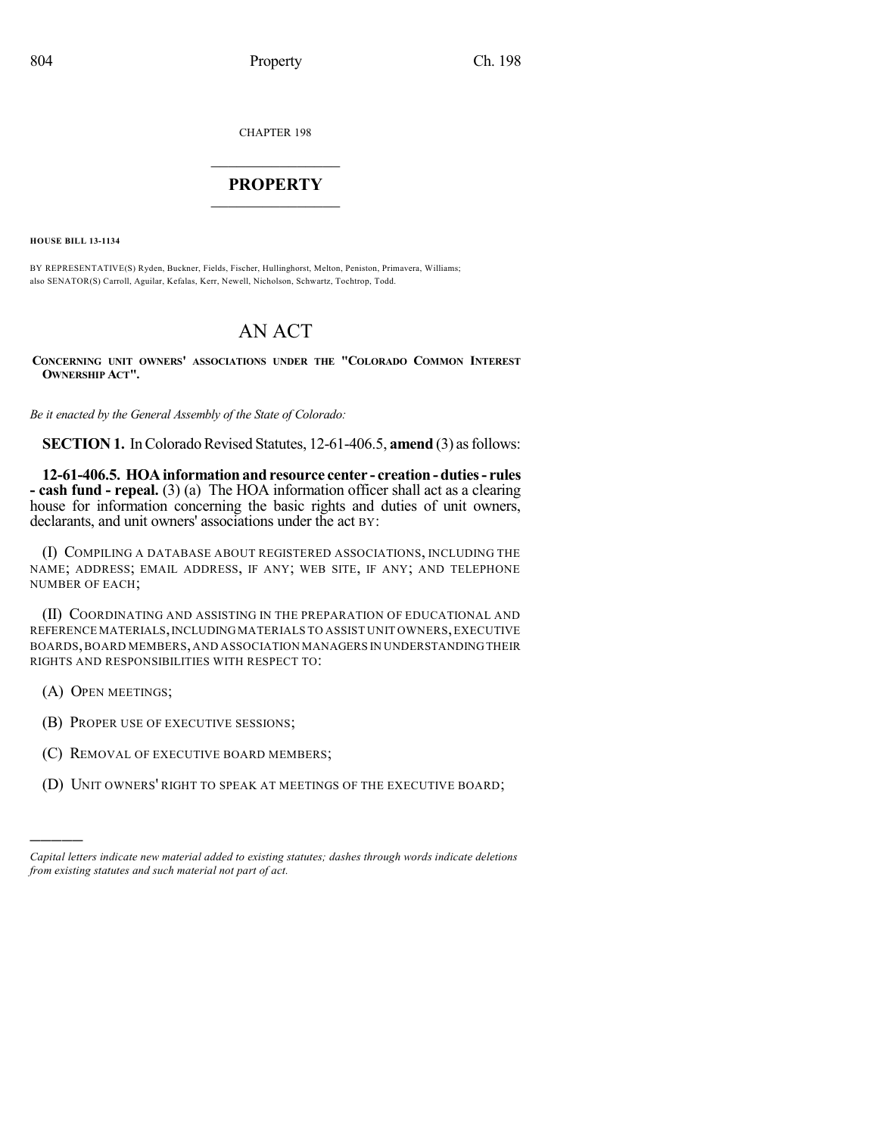CHAPTER 198

## $\overline{\phantom{a}}$  . The set of the set of the set of the set of the set of the set of the set of the set of the set of the set of the set of the set of the set of the set of the set of the set of the set of the set of the set o **PROPERTY**  $\_$   $\_$   $\_$   $\_$   $\_$   $\_$   $\_$   $\_$   $\_$

**HOUSE BILL 13-1134**

BY REPRESENTATIVE(S) Ryden, Buckner, Fields, Fischer, Hullinghorst, Melton, Peniston, Primavera, Williams; also SENATOR(S) Carroll, Aguilar, Kefalas, Kerr, Newell, Nicholson, Schwartz, Tochtrop, Todd.

# AN ACT

**CONCERNING UNIT OWNERS' ASSOCIATIONS UNDER THE "COLORADO COMMON INTEREST OWNERSHIP ACT".**

*Be it enacted by the General Assembly of the State of Colorado:*

**SECTION 1.** In Colorado Revised Statutes, 12-61-406.5, **amend** (3) as follows:

**12-61-406.5. HOAinformation and resource center - creation - duties- rules - cash fund - repeal.** (3) (a) The HOA information officer shall act as a clearing house for information concerning the basic rights and duties of unit owners, declarants, and unit owners' associations under the act BY:

(I) COMPILING A DATABASE ABOUT REGISTERED ASSOCIATIONS, INCLUDING THE NAME; ADDRESS; EMAIL ADDRESS, IF ANY; WEB SITE, IF ANY; AND TELEPHONE NUMBER OF EACH;

(II) COORDINATING AND ASSISTING IN THE PREPARATION OF EDUCATIONAL AND REFERENCE MATERIALS,INCLUDINGMATERIALS TO ASSIST UNIT OWNERS,EXECUTIVE BOARDS,BOARD MEMBERS,AND ASSOCIATION MANAGERS IN UNDERSTANDINGTHEIR RIGHTS AND RESPONSIBILITIES WITH RESPECT TO:

(A) OPEN MEETINGS;

)))))

- (B) PROPER USE OF EXECUTIVE SESSIONS;
- (C) REMOVAL OF EXECUTIVE BOARD MEMBERS;
- (D) UNIT OWNERS' RIGHT TO SPEAK AT MEETINGS OF THE EXECUTIVE BOARD;

*Capital letters indicate new material added to existing statutes; dashes through words indicate deletions from existing statutes and such material not part of act.*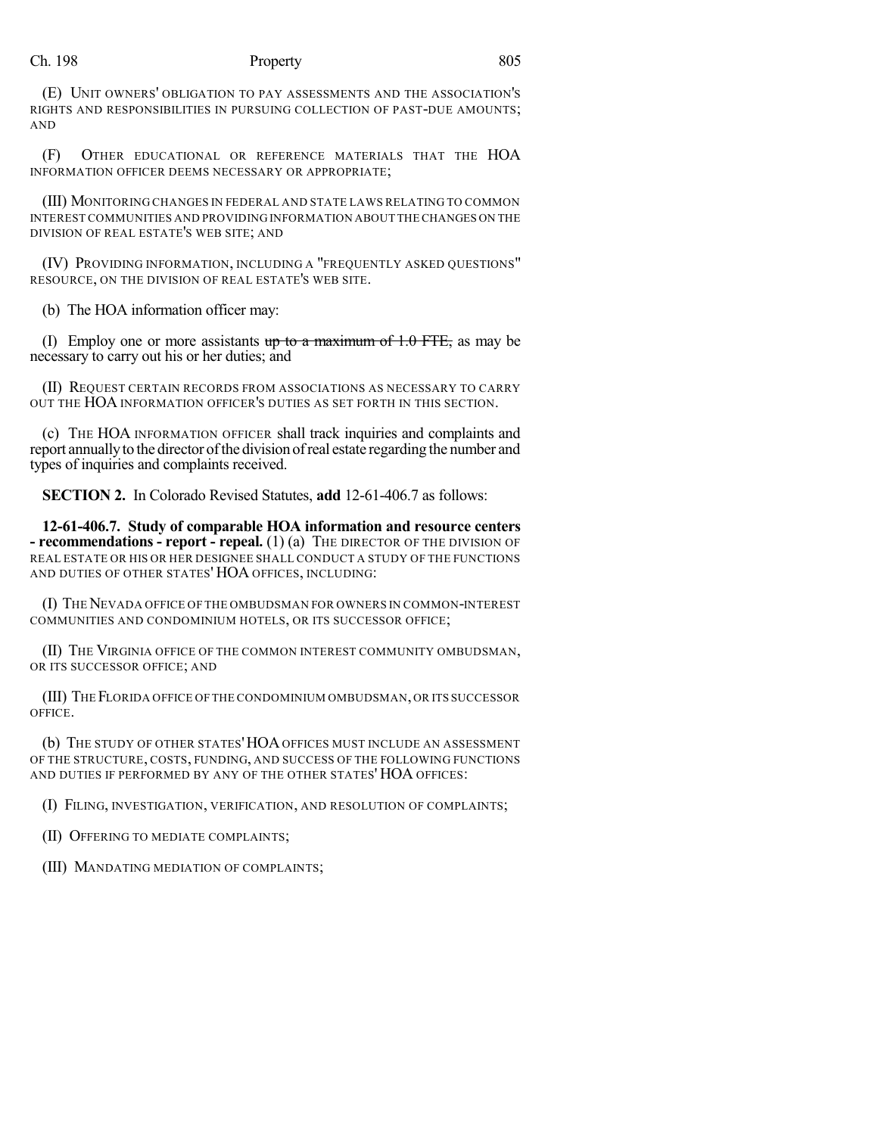### Ch. 198 **Property** 805

(E) UNIT OWNERS' OBLIGATION TO PAY ASSESSMENTS AND THE ASSOCIATION'S RIGHTS AND RESPONSIBILITIES IN PURSUING COLLECTION OF PAST-DUE AMOUNTS; AND

(F) OTHER EDUCATIONAL OR REFERENCE MATERIALS THAT THE HOA INFORMATION OFFICER DEEMS NECESSARY OR APPROPRIATE;

(III) MONITORING CHANGES IN FEDERAL AND STATE LAWS RELATING TO COMMON INTEREST COMMUNITIES AND PROVIDING INFORMATION ABOUT THECHANGES ON THE DIVISION OF REAL ESTATE'S WEB SITE; AND

(IV) PROVIDING INFORMATION, INCLUDING A "FREQUENTLY ASKED QUESTIONS" RESOURCE, ON THE DIVISION OF REAL ESTATE'S WEB SITE.

(b) The HOA information officer may:

(I) Employ one or more assistants up to a maximum of  $1.0$  FTE, as may be necessary to carry out his or her duties; and

(II) REQUEST CERTAIN RECORDS FROM ASSOCIATIONS AS NECESSARY TO CARRY OUT THE HOA INFORMATION OFFICER'S DUTIES AS SET FORTH IN THIS SECTION.

(c) THE HOA INFORMATION OFFICER shall track inquiries and complaints and report annually to the director of the division of real estate regarding the number and types of inquiries and complaints received.

**SECTION 2.** In Colorado Revised Statutes, **add** 12-61-406.7 as follows:

**12-61-406.7. Study of comparable HOA information and resource centers - recommendations - report - repeal.** (1) (a) THE DIRECTOR OF THE DIVISION OF REAL ESTATE OR HIS OR HER DESIGNEE SHALL CONDUCT A STUDY OF THE FUNCTIONS AND DUTIES OF OTHER STATES' HOA OFFICES, INCLUDING:

(I) THENEVADA OFFICE OF THE OMBUDSMAN FOR OWNERS IN COMMON-INTEREST COMMUNITIES AND CONDOMINIUM HOTELS, OR ITS SUCCESSOR OFFICE;

(II) THE VIRGINIA OFFICE OF THE COMMON INTEREST COMMUNITY OMBUDSMAN, OR ITS SUCCESSOR OFFICE; AND

(III) THE FLORIDA OFFICE OF THE CONDOMINIUM OMBUDSMAN,OR ITS SUCCESSOR OFFICE.

(b) THE STUDY OF OTHER STATES'HOAOFFICES MUST INCLUDE AN ASSESSMENT OF THE STRUCTURE, COSTS, FUNDING, AND SUCCESS OF THE FOLLOWING FUNCTIONS AND DUTIES IF PERFORMED BY ANY OF THE OTHER STATES' HOA OFFICES:

(I) FILING, INVESTIGATION, VERIFICATION, AND RESOLUTION OF COMPLAINTS;

(II) OFFERING TO MEDIATE COMPLAINTS;

(III) MANDATING MEDIATION OF COMPLAINTS;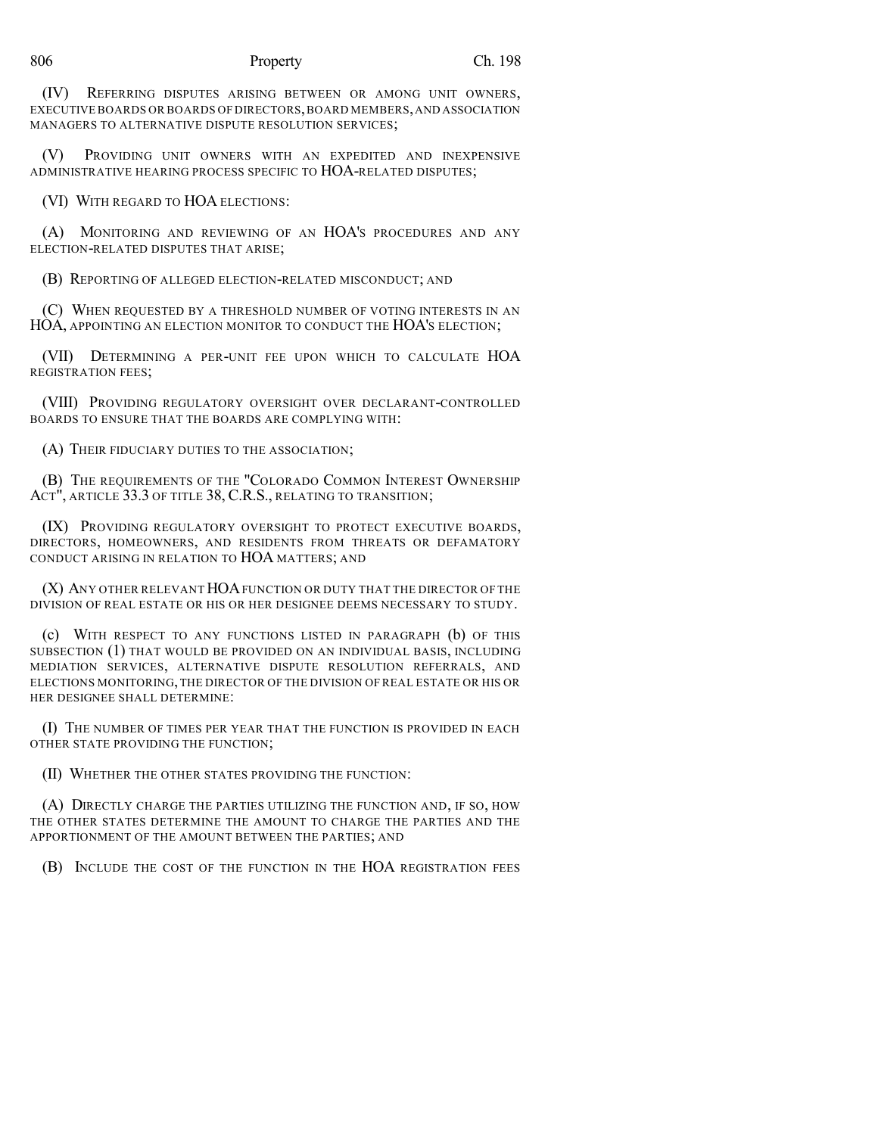#### 806 Property Ch. 198

(IV) REFERRING DISPUTES ARISING BETWEEN OR AMONG UNIT OWNERS, EXECUTIVE BOARDS OR BOARDS OF DIRECTORS,BOARD MEMBERS,AND ASSOCIATION MANAGERS TO ALTERNATIVE DISPUTE RESOLUTION SERVICES;

(V) PROVIDING UNIT OWNERS WITH AN EXPEDITED AND INEXPENSIVE ADMINISTRATIVE HEARING PROCESS SPECIFIC TO HOA-RELATED DISPUTES;

(VI) WITH REGARD TO HOA ELECTIONS:

(A) MONITORING AND REVIEWING OF AN HOA'S PROCEDURES AND ANY ELECTION-RELATED DISPUTES THAT ARISE;

(B) REPORTING OF ALLEGED ELECTION-RELATED MISCONDUCT; AND

(C) WHEN REQUESTED BY A THRESHOLD NUMBER OF VOTING INTERESTS IN AN HOA, APPOINTING AN ELECTION MONITOR TO CONDUCT THE HOA'S ELECTION;

(VII) DETERMINING A PER-UNIT FEE UPON WHICH TO CALCULATE HOA REGISTRATION FEES;

(VIII) PROVIDING REGULATORY OVERSIGHT OVER DECLARANT-CONTROLLED BOARDS TO ENSURE THAT THE BOARDS ARE COMPLYING WITH:

(A) THEIR FIDUCIARY DUTIES TO THE ASSOCIATION;

(B) THE REQUIREMENTS OF THE "COLORADO COMMON INTEREST OWNERSHIP ACT", ARTICLE 33.3 OF TITLE 38, C.R.S., RELATING TO TRANSITION;

(IX) PROVIDING REGULATORY OVERSIGHT TO PROTECT EXECUTIVE BOARDS, DIRECTORS, HOMEOWNERS, AND RESIDENTS FROM THREATS OR DEFAMATORY CONDUCT ARISING IN RELATION TO HOA MATTERS; AND

(X) ANY OTHER RELEVANT HOAFUNCTION OR DUTY THAT THE DIRECTOR OF THE DIVISION OF REAL ESTATE OR HIS OR HER DESIGNEE DEEMS NECESSARY TO STUDY.

(c) WITH RESPECT TO ANY FUNCTIONS LISTED IN PARAGRAPH (b) OF THIS SUBSECTION (1) THAT WOULD BE PROVIDED ON AN INDIVIDUAL BASIS, INCLUDING MEDIATION SERVICES, ALTERNATIVE DISPUTE RESOLUTION REFERRALS, AND ELECTIONS MONITORING, THE DIRECTOR OF THE DIVISION OF REAL ESTATE OR HIS OR HER DESIGNEE SHALL DETERMINE:

(I) THE NUMBER OF TIMES PER YEAR THAT THE FUNCTION IS PROVIDED IN EACH OTHER STATE PROVIDING THE FUNCTION;

(II) WHETHER THE OTHER STATES PROVIDING THE FUNCTION:

(A) DIRECTLY CHARGE THE PARTIES UTILIZING THE FUNCTION AND, IF SO, HOW THE OTHER STATES DETERMINE THE AMOUNT TO CHARGE THE PARTIES AND THE APPORTIONMENT OF THE AMOUNT BETWEEN THE PARTIES; AND

(B) INCLUDE THE COST OF THE FUNCTION IN THE HOA REGISTRATION FEES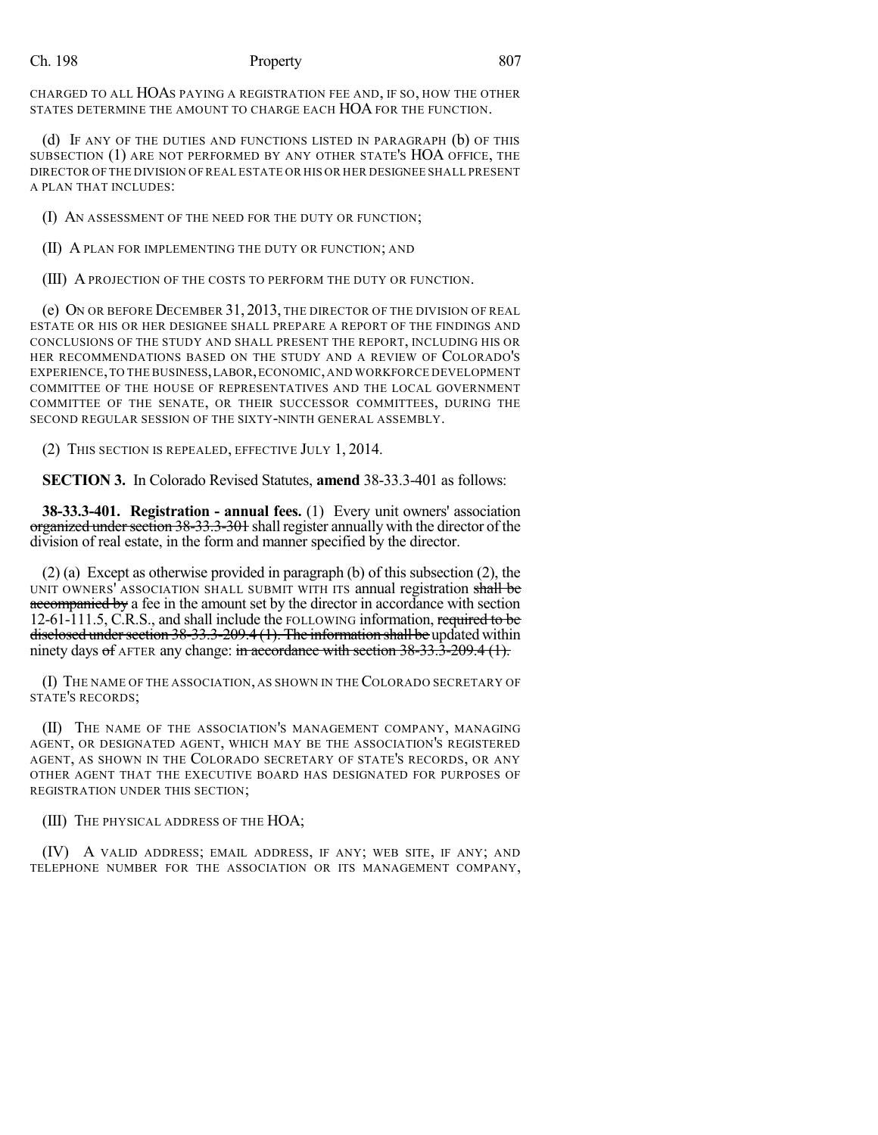#### Ch. 198 **Property** 807

CHARGED TO ALL HOAS PAYING A REGISTRATION FEE AND, IF SO, HOW THE OTHER STATES DETERMINE THE AMOUNT TO CHARGE EACH HOA FOR THE FUNCTION.

(d) IF ANY OF THE DUTIES AND FUNCTIONS LISTED IN PARAGRAPH (b) OF THIS SUBSECTION (1) ARE NOT PERFORMED BY ANY OTHER STATE'S HOA OFFICE, THE DIRECTOR OF THE DIVISION OF REAL ESTATE OR HIS OR HER DESIGNEE SHALL PRESENT A PLAN THAT INCLUDES'

(I) AN ASSESSMENT OF THE NEED FOR THE DUTY OR FUNCTION;

(II) A PLAN FOR IMPLEMENTING THE DUTY OR FUNCTION; AND

(III) A PROJECTION OF THE COSTS TO PERFORM THE DUTY OR FUNCTION.

(e) ON OR BEFORE DECEMBER 31, 2013, THE DIRECTOR OF THE DIVISION OF REAL ESTATE OR HIS OR HER DESIGNEE SHALL PREPARE A REPORT OF THE FINDINGS AND CONCLUSIONS OF THE STUDY AND SHALL PRESENT THE REPORT, INCLUDING HIS OR HER RECOMMENDATIONS BASED ON THE STUDY AND A REVIEW OF COLORADO'S EXPERIENCE,TO THE BUSINESS,LABOR,ECONOMIC,AND WORKFORCE DEVELOPMENT COMMITTEE OF THE HOUSE OF REPRESENTATIVES AND THE LOCAL GOVERNMENT COMMITTEE OF THE SENATE, OR THEIR SUCCESSOR COMMITTEES, DURING THE SECOND REGULAR SESSION OF THE SIXTY-NINTH GENERAL ASSEMBLY.

(2) THIS SECTION IS REPEALED, EFFECTIVE JULY 1, 2014.

**SECTION 3.** In Colorado Revised Statutes, **amend** 38-33.3-401 as follows:

**38-33.3-401. Registration - annual fees.** (1) Every unit owners' association organized under section 38-33.3-301 shall register annually with the director of the division of real estate, in the form and manner specified by the director.

(2) (a) Except as otherwise provided in paragraph (b) of this subsection (2), the UNIT OWNERS' ASSOCIATION SHALL SUBMIT WITH ITS annual registration shall be accompanied by a fee in the amount set by the director in accordance with section 12-61-111.5, C.R.S., and shall include the FOLLOWING information, required to be disclosed under section 38-33.3-209.4 (1). The information shall be updated within ninety days of AFTER any change: in accordance with section 38-33.3-209.4 (1).

(I) THE NAME OF THE ASSOCIATION, AS SHOWN IN THE COLORADO SECRETARY OF STATE'S RECORDS;

(II) THE NAME OF THE ASSOCIATION'S MANAGEMENT COMPANY, MANAGING AGENT, OR DESIGNATED AGENT, WHICH MAY BE THE ASSOCIATION'S REGISTERED AGENT, AS SHOWN IN THE COLORADO SECRETARY OF STATE'S RECORDS, OR ANY OTHER AGENT THAT THE EXECUTIVE BOARD HAS DESIGNATED FOR PURPOSES OF REGISTRATION UNDER THIS SECTION;

(III) THE PHYSICAL ADDRESS OF THE HOA;

(IV) A VALID ADDRESS; EMAIL ADDRESS, IF ANY; WEB SITE, IF ANY; AND TELEPHONE NUMBER FOR THE ASSOCIATION OR ITS MANAGEMENT COMPANY,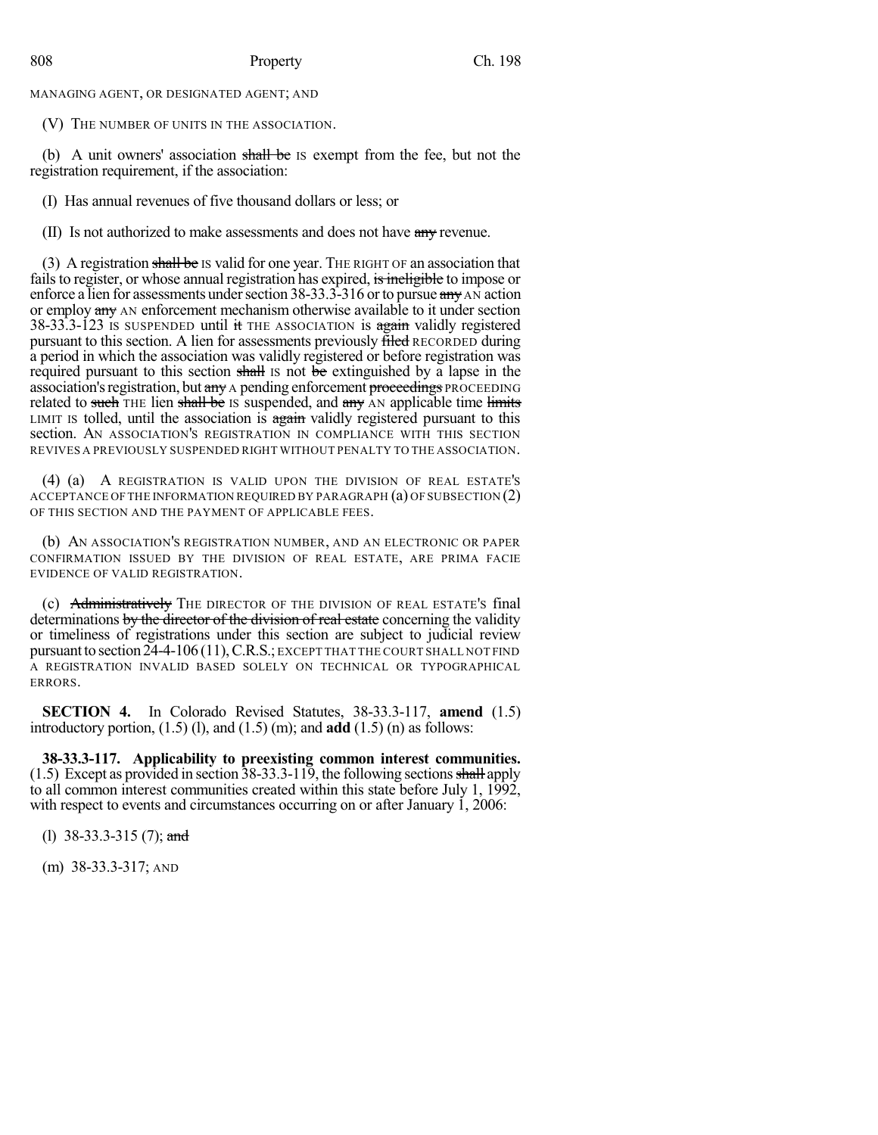MANAGING AGENT, OR DESIGNATED AGENT; AND

(V) THE NUMBER OF UNITS IN THE ASSOCIATION.

(b) A unit owners' association shall be Is exempt from the fee, but not the registration requirement, if the association:

(I) Has annual revenues of five thousand dollars or less; or

(II) Is not authorized to make assessments and does not have any revenue.

(3) A registration shall be IS valid for one year. THE RIGHT OF an association that fails to register, or whose annual registration has expired, is incline to impose or enforce a lien for assessments under section  $38-33.3-316$  or to pursue  $\frac{amv}{2}$  AN action or employ any AN enforcement mechanism otherwise available to it under section 38-33.3-123 IS SUSPENDED until it THE ASSOCIATION is again validly registered pursuant to this section. A lien for assessments previously filed RECORDED during a period in which the association was validly registered or before registration was required pursuant to this section shall is not be extinguished by a lapse in the association's registration, but any A pending enforcement proceedings PROCEEDING related to such THE lien shall be IS suspended, and any AN applicable time limits LIMIT IS tolled, until the association is again validly registered pursuant to this section. AN ASSOCIATION'S REGISTRATION IN COMPLIANCE WITH THIS SECTION REVIVES A PREVIOUSLY SUSPENDED RIGHT WITHOUT PENALTY TO THE ASSOCIATION.

(4) (a) A REGISTRATION IS VALID UPON THE DIVISION OF REAL ESTATE'S ACCEPTANCE OF THE INFORMATION REQUIRED BY PARAGRAPH (a) OF SUBSECTION (2) OF THIS SECTION AND THE PAYMENT OF APPLICABLE FEES.

(b) AN ASSOCIATION'S REGISTRATION NUMBER, AND AN ELECTRONIC OR PAPER CONFIRMATION ISSUED BY THE DIVISION OF REAL ESTATE, ARE PRIMA FACIE EVIDENCE OF VALID REGISTRATION.

(c) Administratively THE DIRECTOR OF THE DIVISION OF REAL ESTATE's final determinations by the director of the division of real estate concerning the validity or timeliness of registrations under this section are subject to judicial review pursuant to section 24-4-106 (11), C.R.S.; EXCEPT THAT THE COURT SHALL NOT FIND A REGISTRATION INVALID BASED SOLELY ON TECHNICAL OR TYPOGRAPHICAL ERRORS.

**SECTION 4.** In Colorado Revised Statutes, 38-33.3-117, **amend** (1.5) introductory portion,  $(1.5)$  (l), and  $(1.5)$  (m); and **add**  $(1.5)$  (n) as follows:

**38-33.3-117. Applicability to preexisting common interest communities.**  $(1.5)$  Except as provided in section 38-33.3-119, the following sections shall apply to all common interest communities created within this state before July 1, 1992, with respect to events and circumstances occurring on or after January 1, 2006:

(1) 38-33.3-315 (7); and

(m) 38-33.3-317; AND